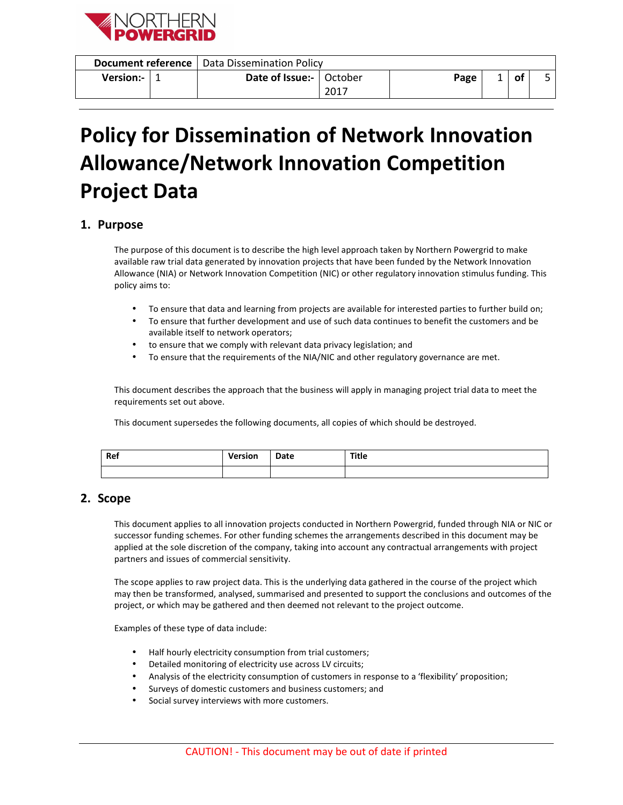

|                     |  | <b>Document reference</b>   Data Dissemination Policy |      |  |  |
|---------------------|--|-------------------------------------------------------|------|--|--|
| Version:- $\vert$ 1 |  | Date of Issue:-   October                             | Page |  |  |
|                     |  |                                                       |      |  |  |

# **Policy for Dissemination of Network Innovation Allowance/Network Innovation Competition Project Data**

# **1. Purpose**

The purpose of this document is to describe the high level approach taken by Northern Powergrid to make available raw trial data generated by innovation projects that have been funded by the Network Innovation Allowance (NIA) or Network Innovation Competition (NIC) or other regulatory innovation stimulus funding. This policy aims to:

- To ensure that data and learning from projects are available for interested parties to further build on;
- To ensure that further development and use of such data continues to benefit the customers and be available itself to network operators;
- to ensure that we comply with relevant data privacy legislation; and
- To ensure that the requirements of the NIA/NIC and other regulatory governance are met.

This document describes the approach that the business will apply in managing project trial data to meet the requirements set out above.

This document supersedes the following documents, all copies of which should be destroyed.

| Ref | <b>Version</b> | Date | Title |
|-----|----------------|------|-------|
|     |                |      |       |

## **2. Scope**

This document applies to all innovation projects conducted in Northern Powergrid, funded through NIA or NIC or successor funding schemes. For other funding schemes the arrangements described in this document may be applied at the sole discretion of the company, taking into account any contractual arrangements with project partners and issues of commercial sensitivity.

The scope applies to raw project data. This is the underlying data gathered in the course of the project which may then be transformed, analysed, summarised and presented to support the conclusions and outcomes of the project, or which may be gathered and then deemed not relevant to the project outcome.

Examples of these type of data include:

- Half hourly electricity consumption from trial customers;
- Detailed monitoring of electricity use across LV circuits;
- Analysis of the electricity consumption of customers in response to a 'flexibility' proposition;
- Surveys of domestic customers and business customers; and
- Social survey interviews with more customers.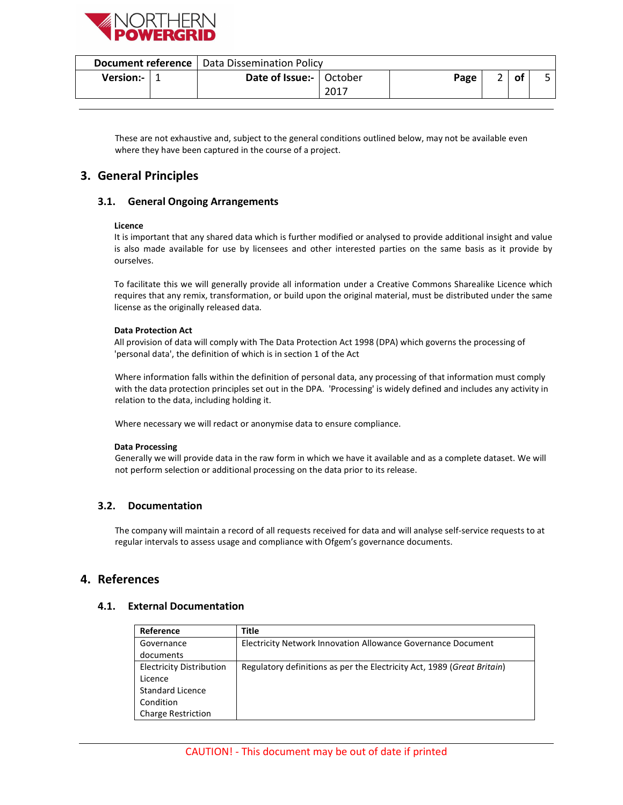

| of<br>Date of Issue:-   October<br>Version:- $\vert$ 1<br>Page |  |  | <b>Document reference</b>   Data Dissemination Policy |      |  |  |
|----------------------------------------------------------------|--|--|-------------------------------------------------------|------|--|--|
|                                                                |  |  |                                                       | 2017 |  |  |

These are not exhaustive and, subject to the general conditions outlined below, may not be available even where they have been captured in the course of a project.

# **3. General Principles**

## **3.1. General Ongoing Arrangements**

#### **Licence**

It is important that any shared data which is further modified or analysed to provide additional insight and value is also made available for use by licensees and other interested parties on the same basis as it provide by ourselves.

To facilitate this we will generally provide all information under a Creative Commons Sharealike Licence which requires that any remix, transformation, or build upon the original material, must be distributed under the same license as the originally released data.

#### **Data Protection Act**

All provision of data will comply with The Data Protection Act 1998 (DPA) which governs the processing of 'personal data', the definition of which is in section 1 of the Act

Where information falls within the definition of personal data, any processing of that information must comply with the data protection principles set out in the DPA. 'Processing' is widely defined and includes any activity in relation to the data, including holding it.

Where necessary we will redact or anonymise data to ensure compliance.

#### **Data Processing**

Generally we will provide data in the raw form in which we have it available and as a complete dataset. We will not perform selection or additional processing on the data prior to its release.

## **3.2. Documentation**

The company will maintain a record of all requests received for data and will analyse self-service requests to at regular intervals to assess usage and compliance with Ofgem's governance documents.

## **4. References**

#### **4.1. External Documentation**

| Reference                       | Title                                                                   |
|---------------------------------|-------------------------------------------------------------------------|
| Governance                      | Electricity Network Innovation Allowance Governance Document            |
| documents                       |                                                                         |
| <b>Electricity Distribution</b> | Regulatory definitions as per the Electricity Act, 1989 (Great Britain) |
| Licence                         |                                                                         |
| Standard Licence                |                                                                         |
| Condition                       |                                                                         |
| <b>Charge Restriction</b>       |                                                                         |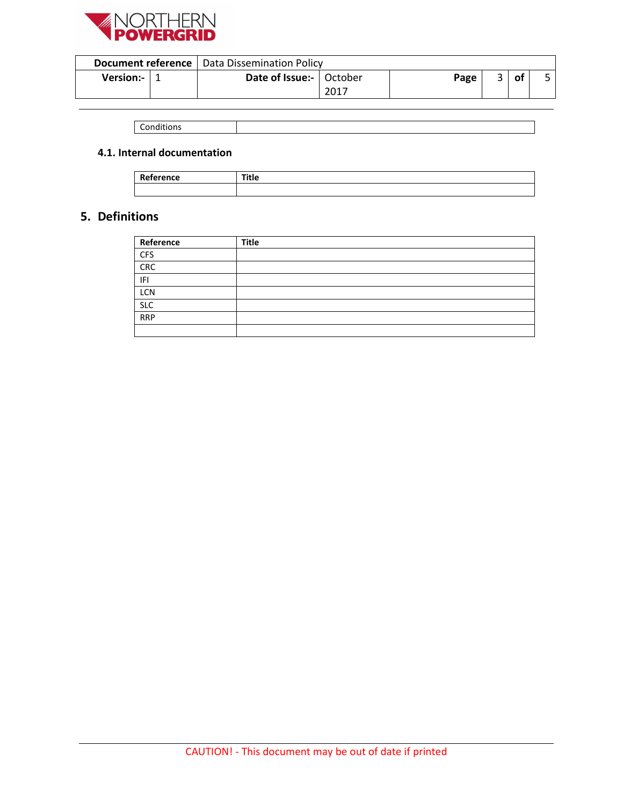

|                  |  | <b>Document reference</b>   Data Dissemination Policy |      |      |                    |    |  |
|------------------|--|-------------------------------------------------------|------|------|--------------------|----|--|
| <b>Version:-</b> |  | Date of Issue:-   October                             |      | Page | $\mathbf{\hat{z}}$ | οt |  |
|                  |  |                                                       | 2017 |      |                    |    |  |

| .<br>$\sim$<br><br><b>MILIONS</b><br>. |  |
|----------------------------------------|--|

## **4.1. Internal documentation**

| . <i>.</i><br>leference<br>. | ᆍᇶ<br> |
|------------------------------|--------|
|                              |        |

# **5. Definitions**

| Reference  | <b>Title</b> |  |
|------------|--------------|--|
| <b>CFS</b> |              |  |
| CRC        |              |  |
| IFI        |              |  |
| LCN        |              |  |
| <b>SLC</b> |              |  |
| <b>RRP</b> |              |  |
|            |              |  |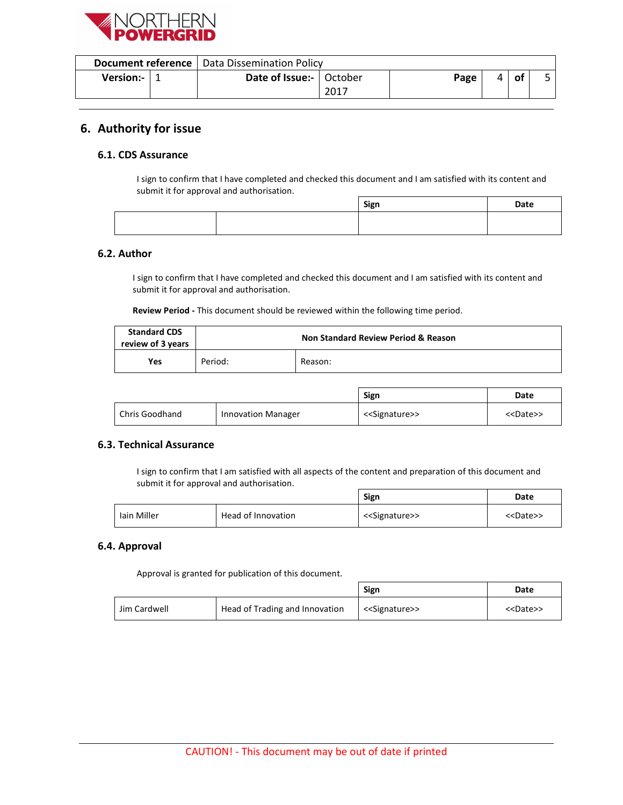

|             |  | <b>Document reference</b>   Data Dissemination Policy |      |      |    |    |  |
|-------------|--|-------------------------------------------------------|------|------|----|----|--|
| Version:- I |  | <b>Date of Issue:-</b>   October                      | 2017 | Page | Δ. | 01 |  |
|             |  |                                                       |      |      |    |    |  |

# **6. Authority for issue**

## **6.1. CDS Assurance**

I sign to confirm that I have completed and checked this document and I am satisfied with its content and submit it for approval and authorisation.

|  | Sign | Date |
|--|------|------|
|  |      |      |
|  |      |      |

#### **6.2. Author**

I sign to confirm that I have completed and checked this document and I am satisfied with its content and submit it for approval and authorisation.

**Review Period -** This document should be reviewed within the following time period.

| <b>Standard CDS</b><br>review of 3 years | <b>Non Standard Review Period &amp; Reason</b> |         |
|------------------------------------------|------------------------------------------------|---------|
| Yes                                      | Period:                                        | Reason: |

|                |                           | Sign                          | Date                |
|----------------|---------------------------|-------------------------------|---------------------|
| Chris Goodhand | <b>Innovation Manager</b> | < <signature>&gt;</signature> | < <date>&gt;</date> |

## **6.3. Technical Assurance**

I sign to confirm that I am satisfied with all aspects of the content and preparation of this document and submit it for approval and authorisation.

ī

|             |                    | Sign                          | Date                |
|-------------|--------------------|-------------------------------|---------------------|
| Iain Miller | Head of Innovation | < <signature>&gt;</signature> | < <date>&gt;</date> |

## **6.4. Approval**

Approval is granted for publication of this document.

|              |                                | Sign                          | Date                |
|--------------|--------------------------------|-------------------------------|---------------------|
| Jim Cardwell | Head of Trading and Innovation | < <signature>&gt;</signature> | < <date>&gt;</date> |